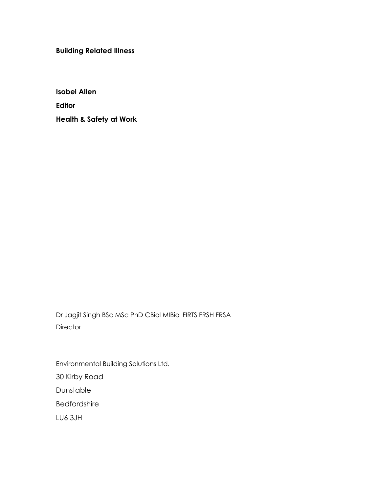Building Related Illness

Isobel Allen Editor Health & Safety at Work

Dr Jagjit Singh BSc MSc PhD CBiol MIBiol FIRTS FRSH FRSA **Director** 

Environmental Building Solutions Ltd. 30 Kirby Road Dunstable Bedfordshire LU6 3JH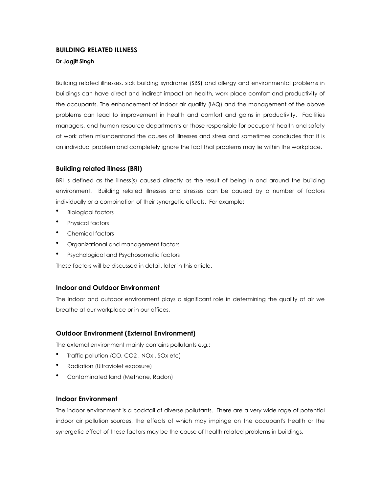# BUILDING RELATED ILLNESS

# Dr Jagjit Singh

Building related illnesses, sick building syndrome (SBS) and allergy and environmental problems in buildings can have direct and indirect impact on health, work place comfort and productivity of the occupants. The enhancement of Indoor air quality (IAQ) and the management of the above problems can lead to improvement in health and comfort and gains in productivity. Facilities managers, and human resource departments or those responsible for occupant health and safety at work often misunderstand the causes of illnesses and stress and sometimes concludes that it is an individual problem and completely ignore the fact that problems may lie within the workplace.

# Building related illness (BRI)

BRI is defined as the illness(s) caused directly as the result of being in and around the building environment. Building related illnesses and stresses can be caused by a number of factors individually or a combination of their synergetic effects. For example:

- Biological factors
- Physical factors
- Chemical factors
- Organizational and management factors
- Psychological and Psychosomatic factors

These factors will be discussed in detail, later in this article.

# Indoor and Outdoor Environment

The indoor and outdoor environment plays a significant role in determining the quality of air we breathe at our workplace or in our offices.

# Outdoor Environment (External Environment)

The external environment mainly contains pollutants e.g.:

- Traffic pollution (CO, CO2 , NOx , SOx etc)
- Radiation (Ultraviolet exposure)
- Contaminated land (Methane, Radon)

# Indoor Environment

The indoor environment is a cocktail of diverse pollutants. There are a very wide rage of potential indoor air pollution sources, the effects of which may impinge on the occupant's health or the synergetic effect of these factors may be the cause of health related problems in buildings.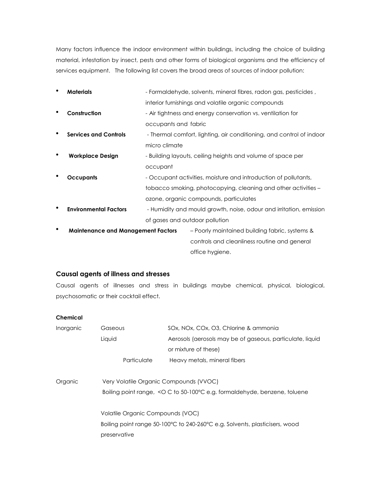Many factors influence the indoor environment within buildings, including the choice of building material, infestation by insect, pests and other forms of biological organisms and the efficiency of services equipment. The following list covers the broad areas of sources of indoor pollution:

| ٠ | <b>Materials</b>                          |                      | - Formaldehyde, solvents, mineral fibres, radon gas, pesticides,     |
|---|-------------------------------------------|----------------------|----------------------------------------------------------------------|
|   |                                           |                      | interior furnishings and volatile organic compounds                  |
| ٠ | Construction                              |                      | - Air tightness and energy conservation vs. ventilation for          |
|   |                                           | occupants and fabric |                                                                      |
| ٠ | <b>Services and Controls</b>              |                      | - Thermal comfort, lighting, air conditioning, and control of indoor |
|   |                                           | micro climate        |                                                                      |
|   | <b>Workplace Design</b>                   |                      | - Building layouts, ceiling heights and volume of space per          |
|   |                                           | occupant             |                                                                      |
|   | <b>Occupants</b>                          |                      | - Occupant activities, moisture and introduction of pollutants,      |
|   |                                           |                      | tobacco smoking, photocopying, cleaning and other activities –       |
|   |                                           |                      | ozone, organic compounds, particulates                               |
| ٠ | <b>Environmental Factors</b>              |                      | - Humidity and mould growth, noise, odour and irritation, emission   |
|   |                                           |                      | of gases and outdoor pollution                                       |
| ٠ | <b>Maintenance and Management Factors</b> |                      | - Poorly maintained building fabric, systems &                       |
|   |                                           |                      | controls and cleanliness routine and general                         |
|   |                                           |                      | office hygiene.                                                      |

# Causal agents of illness and stresses

Causal agents of illnesses and stress in buildings maybe chemical, physical, biological, psychosomatic or their cocktail effect.

# Chemical

| Inorganic | Gaseous                                                                     | SOx, NOx, COx, O3, Chlorine & ammonia                                      |  |
|-----------|-----------------------------------------------------------------------------|----------------------------------------------------------------------------|--|
|           | Liquid                                                                      | Aerosols (aerosols may be of gaseous, particulate, liquid                  |  |
|           |                                                                             | or mixture of these)                                                       |  |
|           | Particulate                                                                 | Heavy metals, mineral fibers                                               |  |
| Organic   | Very Volatile Organic Compounds (VVOC)                                      |                                                                            |  |
|           |                                                                             | Boiling point range, < O C to 50-100°C e.g. formaldehyde, benzene, toluene |  |
|           | Volatile Organic Compounds (VOC)                                            |                                                                            |  |
|           | Boiling point range 50-100°C to 240-260°C e.g. Solvents, plasticisers, wood |                                                                            |  |
|           | preservative                                                                |                                                                            |  |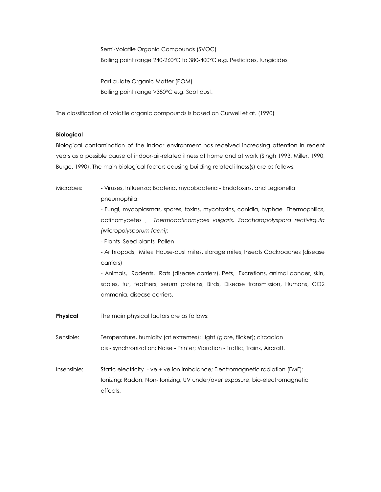Semi-Volatile Organic Compounds (SVOC) Boiling point range 240-260°C to 380-400°C e.g. Pesticides, fungicides

Particulate Organic Matter (POM) Boiling point range >380°C e.g. Soot dust.

The classification of volatile organic compounds is based on Curwell et at. (1990)

## Biological

Biological contamination of the indoor environment has received increasing attention in recent years as a possible cause of indoor-air-related illness at home and at work (Singh 1993, Miller, 1990, Burge, 1990). The main biological factors causing building related illness(s) are as follows;

| Microbes:       | - Viruses, Influenza; Bacteria, mycobacteria - Endotoxins, and Legionella           |  |  |
|-----------------|-------------------------------------------------------------------------------------|--|--|
|                 | pneumophila;                                                                        |  |  |
|                 | - Fungi, mycoplasmas, spores, toxins, mycotoxins, conidia, hyphae Thermophilics,    |  |  |
|                 | actinomycetes, Thermoactinomyces vulgaris, Saccharopolyspora rectivirgula           |  |  |
|                 | (Micropolysporum faeni);<br>- Plants Seed plants Pollen                             |  |  |
|                 |                                                                                     |  |  |
|                 | - Arthropods, Mites House-dust mites, storage mites, Insects Cockroaches (disease   |  |  |
|                 | carriers)                                                                           |  |  |
|                 | - Animals, Rodents, Rats (disease carriers), Pets, Excretions, animal dander, skin, |  |  |
|                 | scales, fur, feathers, serum proteins, Birds, Disease transmission, Humans, CO2     |  |  |
|                 | ammonia, disease carriers.                                                          |  |  |
| <b>Physical</b> | The main physical factors are as follows:                                           |  |  |
| Sensible:       | Temperature, humidity (at extremes); Light (glare, flicker); circadian              |  |  |
|                 | dis - synchronization; Noise - Printer; Vibration - Traffic, Trains, Aircraft.      |  |  |
| Insensible:     | Static electricity - ve + ve ion imbalance; Electromagnetic radiation (EMF):        |  |  |
|                 | Ionizing: Radon, Non-Ionizing, UV under/over exposure, bio-electromagnetic          |  |  |
|                 | effects.                                                                            |  |  |
|                 |                                                                                     |  |  |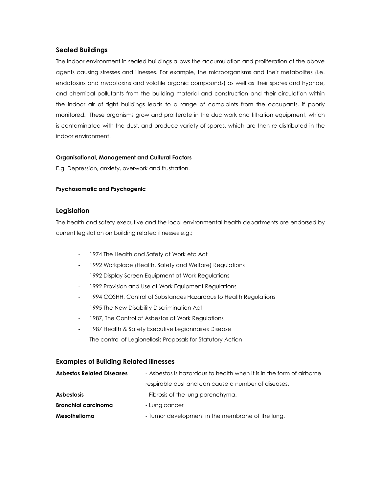# Sealed Buildings

The indoor environment in sealed buildings allows the accumulation and proliferation of the above agents causing stresses and illnesses. For example, the microorganisms and their metabolites (i.e. endotoxins and mycotoxins and volatile organic compounds) as well as their spores and hyphae, and chemical pollutants from the building material and construction and their circulation within the indoor air of tight buildings leads to a range of complaints from the occupants, if poorly monitored. These organisms grow and proliferate in the ductwork and filtration equipment, which is contaminated with the dust, and produce variety of spores, which are then re-distributed in the indoor environment.

## Organisational, Management and Cultural Factors

E.g. Depression, anxiety, overwork and frustration.

## Psychosomatic and Psychogenic

# Legislation

The health and safety executive and the local environmental health departments are endorsed by current legislation on building related illnesses e.g.;

- 1974 The Health and Safety at Work etc Act
- 1992 Workplace (Health, Safety and Welfare) Regulations
- 1992 Display Screen Equipment at Work Regulations
- 1992 Provision and Use of Work Equipment Regulations
- 1994 COSHH, Control of Substances Hazardous to Health Regulations
- 1995 The New Disability Discrimination Act
- 1987, The Control of Asbestos at Work Regulations
- 1987 Health & Safety Executive Legionnaires Disease
- The control of Legionellosis Proposals for Statutory Action

# Examples of Building Related illnesses

| <b>Asbestos Related Diseases</b> | - Asbestos is hazardous to health when it is in the form of airborne |  |
|----------------------------------|----------------------------------------------------------------------|--|
|                                  | respirable dust and can cause a number of diseases.                  |  |
| <b>Asbestosis</b>                | - Fibrosis of the lung parenchyma.                                   |  |
| <b>Bronchial carcinoma</b>       | - Lung cancer                                                        |  |
| Mesothelioma                     | - Tumor development in the membrane of the lung.                     |  |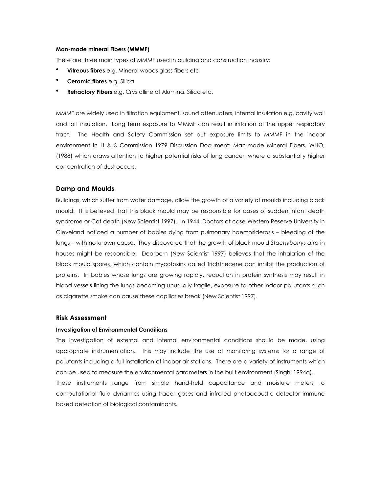#### Man-made mineral Fibers (MMMF)

There are three main types of MMMF used in building and construction industry:

- Vitreous fibres e.g. Mineral woods glass fibers etc
- Ceramic fibres e.g. Silica
- Refractory Fibers e.g. Crystalline of Alumina, Silica etc.

MMMF are widely used in filtration equipment, sound attenuaters, internal insulation e.g. cavity wall and loft insulation. Long term exposure to MMMF can result in irritation of the upper respiratory tract. The Health and Safety Commission set out exposure limits to MMMF in the indoor environment in H & S Commission 1979 Discussion Document: Man-made Mineral Fibers. WHO, (1988) which draws attention to higher potential risks of lung cancer, where a substantially higher concentration of dust occurs.

## Damp and Moulds

Buildings, which suffer from water damage, allow the growth of a variety of moulds including black mould. It is believed that this black mould may be responsible for cases of sudden infant death syndrome or Cot death (New Scientist 1997). In 1944, Doctors at case Western Reserve University in Cleveland noticed a number of babies dying from pulmonary haemosiderosis – bleeding of the lungs – with no known cause. They discovered that the growth of black mould Stachybotrys atra in houses might be responsible. Dearborn (New Scientist 1997) believes that the inhalation of the black mould spores, which contain mycotoxins called Trichthecene can inhibit the production of proteins. In babies whose lungs are growing rapidly, reduction in protein synthesis may result in blood vessels lining the lungs becoming unusually fragile, exposure to other indoor pollutants such as cigarette smoke can cause these capillaries break (New Scientist 1997).

## Risk Assessment

### Investigation of Environmental Conditions

The investigation of external and internal environmental conditions should be made, using appropriate instrumentation. This may include the use of monitoring systems for a range of pollutants including a full installation of indoor air stations. There are a variety of instruments which can be used to measure the environmental parameters in the built environment (Singh, 1994a). These instruments range from simple hand-held capacitance and moisture meters to computational fluid dynamics using tracer gases and infrared photoacoustic detector immune based detection of biological contaminants.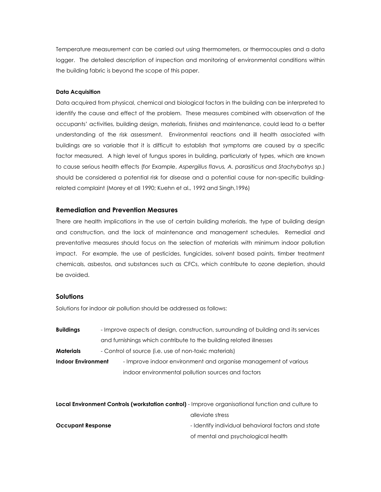Temperature measurement can be carried out using thermometers, or thermocouples and a data logger. The detailed description of inspection and monitoring of environmental conditions within the building fabric is beyond the scope of this paper.

### Data Acquisition

Data acquired from physical, chemical and biological factors in the building can be interpreted to identify the cause and effect of the problem. These measures combined with observation of the occupants' activities, building design, materials, finishes and maintenance, could lead to a better understanding of the risk assessment. Environmental reactions and ill health associated with buildings are so variable that it is difficult to establish that symptoms are caused by a specific factor measured. A high level of fungus spores in building, particularly of types, which are known to cause serious health effects (for Example, Aspergillus flavus, A. parasiticus and Stachybotrys sp.) should be considered a potential risk for disease and a potential cause for non-specific buildingrelated complaint (Morey et all 1990; Kuehn et al., 1992 and Singh,1996)

## Remediation and Prevention Measures

There are health implications in the use of certain building materials, the type of building design and construction, and the lack of maintenance and management schedules. Remedial and preventative measures should focus on the selection of materials with minimum indoor pollution impact. For example, the use of pesticides, fungicides, solvent based paints, timber treatment chemicals, asbestos, and substances such as CFCs, which contribute to ozone depletion, should be avoided.

## **Solutions**

Solutions for indoor air pollution should be addressed as follows:

| <b>Buildings</b>          |  | - Improve aspects of design, construction, surrounding of building and its services |  |
|---------------------------|--|-------------------------------------------------------------------------------------|--|
|                           |  | and furnishings which contribute to the building related illnesses                  |  |
| <b>Materials</b>          |  | - Control of source (i.e. use of non-toxic materials)                               |  |
| <b>Indoor Environment</b> |  | - Improve indoor environment and organise management of various                     |  |
|                           |  | indoor environmental pollution sources and factors                                  |  |

| Local Environment Controls (workstation control) - Improve organisational function and culture to |                                                    |
|---------------------------------------------------------------------------------------------------|----------------------------------------------------|
|                                                                                                   | alleviate stress                                   |
| <b>Occupant Response</b>                                                                          | - Identify individual behavioral factors and state |
|                                                                                                   | of mental and psychological health                 |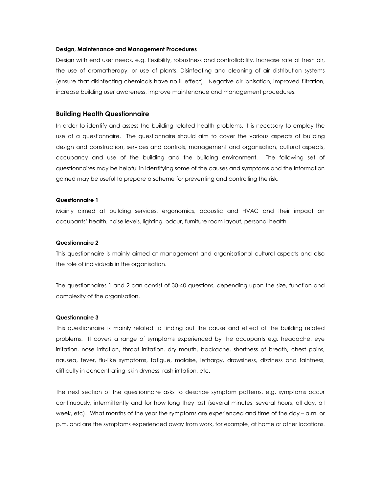#### Design, Maintenance and Management Procedures

Design with end user needs, e.g. flexibility, robustness and controllability. Increase rate of fresh air, the use of aromatherapy, or use of plants. Disinfecting and cleaning of air distribution systems (ensure that disinfecting chemicals have no ill effect). Negative air ionisation, improved filtration, increase building user awareness, improve maintenance and management procedures.

## Building Health Questionnaire

In order to identify and assess the building related health problems, it is necessary to employ the use of a questionnaire. The questionnaire should aim to cover the various aspects of building design and construction, services and controls, management and organisation, cultural aspects, occupancy and use of the building and the building environment. The following set of questionnaires may be helpful in identifying some of the causes and symptoms and the information gained may be useful to prepare a scheme for preventing and controlling the risk.

#### Questionnaire 1

Mainly aimed at building services, ergonomics, acoustic and HVAC and their impact on occupants' health, noise levels, lighting, odour, furniture room layout, personal health

## Questionnaire 2

This questionnaire is mainly aimed at management and organisational cultural aspects and also the role of individuals in the organisation.

The questionnaires 1 and 2 can consist of 30-40 questions, depending upon the size, function and complexity of the organisation.

#### Questionnaire 3

This questionnaire is mainly related to finding out the cause and effect of the building related problems. It covers a range of symptoms experienced by the occupants e.g. headache, eye irritation, nose irritation, throat irritation, dry mouth, backache, shortness of breath, chest pains, nausea, fever, flu-like symptoms, fatigue, malaise, lethargy, drowsiness, dizziness and faintness, difficulty in concentrating, skin dryness, rash irritation, etc.

The next section of the questionnaire asks to describe symptom patterns, e.g. symptoms occur continuously, intermittently and for how long they last (several minutes, several hours, all day, all week, etc). What months of the year the symptoms are experienced and time of the day – a.m. or p.m. and are the symptoms experienced away from work, for example, at home or other locations.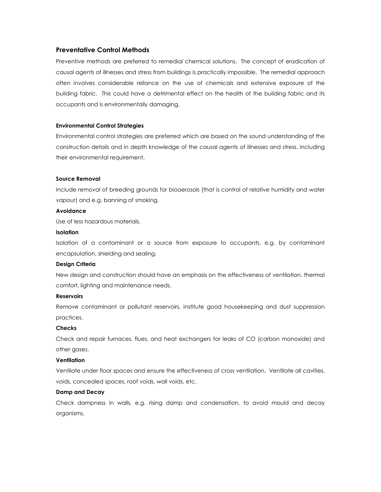## Preventative Control Methods

Preventive methods are preferred to remedial chemical solutions. The concept of eradication of causal agents of illnesses and stress from buildings is practically impossible. The remedial approach often involves considerable reliance on the use of chemicals and extensive exposure of the building fabric. This could have a detrimental effect on the health of the building fabric and its occupants and is environmentally damaging.

#### Environmental Control Strategies

Environmental control strategies are preferred which are based on the sound understanding of the construction details and in depth knowledge of the causal agents of illnesses and stress, including their environmental requirement.

#### Source Removal

Include removal of breeding grounds for bioaerosols (that is control of relative humidity and water vapour) and e.g. banning of smoking.

### Avoidance

Use of less hazardous materials.

## Isolation

Isolation of a contaminant or a source from exposure to occupants, e.g. by contaminant encapsulation, shielding and sealing.

## Design Criteria

New design and construction should have an emphasis on the effectiveness of ventilation, thermal comfort, lighting and maintenance needs.

#### **Reservoirs**

Remove contaminant or pollutant reservoirs, institute good housekeeping and dust suppression practices.

## **Checks**

Check and repair furnaces, flues, and heat exchangers for leaks of CO (carbon monoxide) and other gases.

## **Ventilation**

Ventilate under floor spaces and ensure the effectiveness of cross ventilation. Ventilate all cavities, voids, concealed spaces, roof voids, wall voids, etc.

## Damp and Decay

Check dampness in walls, e.g. rising damp and condensation, to avoid mould and decay organisms.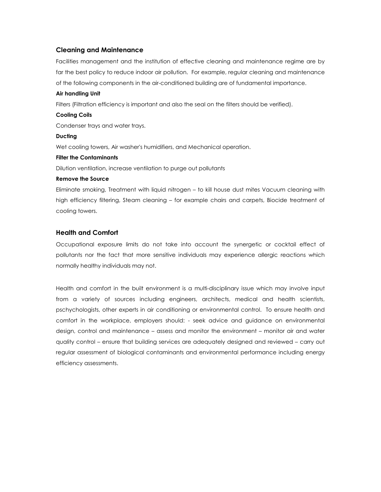# Cleaning and Maintenance

Facilities management and the institution of effective cleaning and maintenance regime are by far the best policy to reduce indoor air pollution. For example, regular cleaning and maintenance of the following components in the air-conditioned building are of fundamental importance.

### Air handling Unit

Filters (Filtration efficiency is important and also the seal on the filters should be verified).

### Cooling Coils

Condenser trays and water trays.

#### Ducting

Wet cooling towers, Air washer's humidifiers, and Mechanical operation.

#### Filter the Contaminants

Dilution ventilation, increase ventilation to purge out pollutants

### Remove the Source

Eliminate smoking, Treatment with liquid nitrogen – to kill house dust mites Vacuum cleaning with high efficiency filtering, Steam cleaning – for example chairs and carpets, Biocide treatment of cooling towers.

# Health and Comfort

Occupational exposure limits do not take into account the synergetic or cocktail effect of pollutants nor the fact that more sensitive individuals may experience allergic reactions which normally healthy individuals may not.

Health and comfort in the built environment is a multi-disciplinary issue which may involve input from a variety of sources including engineers, architects, medical and health scientists, pschychologists, other experts in air conditioning or environmental control. To ensure health and comfort in the workplace, employers should: - seek advice and guidance on environmental design, control and maintenance – assess and monitor the environment – monitor air and water quality control – ensure that building services are adequately designed and reviewed – carry out regular assessment of biological contaminants and environmental performance including energy efficiency assessments.